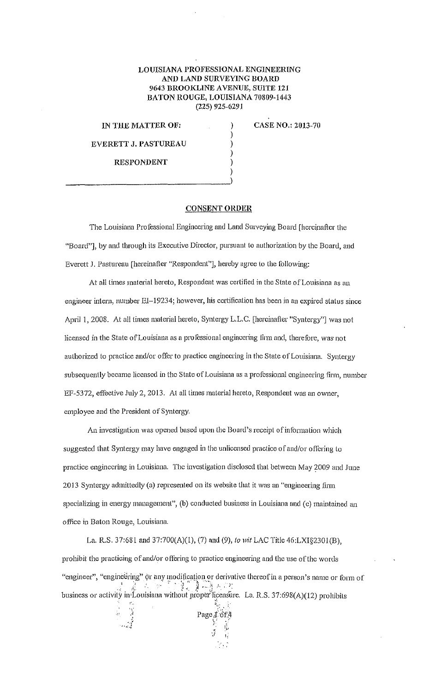## LOUISIANA PROFESSIONAL ENGINEERING AND LAND SURVEYING BOARD 9643 BROOKLINE AVENUE, SUITE 121 BATON ROUGE, LOUISIANA 70809-1443 (225) 925-6291

) ) ) ) )

IN THE MATTER OF:

CASE NO.: 2013-70

EVERETT J. PASTUREAU RESPONDENT

) \_\_\_\_\_\_\_\_\_\_\_\_\_\_\_\_\_\_\_\_\_\_\_\_\_\_\_ )

## CONSENT ORDER

The Louisiana Professional Engineering and Lund Surveying Board [hereinafter the "Board"], by and through ils Executive Director, pursuant to authorization by the Board, and Everett J. Pastureau [hereinafter "Respondent"], hereby agree to the following:

At all times material hereto, Respondent was certified in the State of Louisiana as an engineer intern, number El-19234; however, his certification bas been in an expired status since April 1, 2008. At all times material hereto, Syntergy L.L.C. [hercinafter "Syntergy"] was not licensed in the State of Louisiana as a professional engineering linn and, therefore, was not authorized to practice and/or offer to practice engineering in the State of Louisiana. Syntcrgy subsequently became licensed in the State of Louisiana as a professional engineering firm, number EF-5372, effective July 2, 2013. At all times material hereto, Respondent was an owner, employee and the President of Syntergy.

An investigation was opened based upon the Board's receipt of information which suggested that Syntergy may have engaged in the unlicensed practice of and/or oflering to practice engineering in Louisiana. The investigation disclosed that between May 2009 and June 2013 Syntergy admittedly (a) represented on its website that it was an "engineering firm specializing in energy management", (b) conducted business in Louisiana and (c) maintained an office in Baton Rouge, Louisiana.

La. R.S. 37:681 and 37:700(A)(l), (7) and (9), *to wit* LAC Title 46:LXI§230l(B), prohibit the practicing of and/or offering to practice engineering and the use of the words "engineer", "engineering" or any modification or derivative thereof in a person's name or form of ... j :;:. :. '\_. :· ' *:l :.' )* ~~:~/) *: ...* ' ;: business or activity in Louisiana withont propel"Jicensiire. La. R.S. 37:698(A)(12) prohibits . .:

Page 4 of 4

 $\cdot$   $\cdot$  $\frac{1}{2}$ 

*·•.{* ,,,~\_..: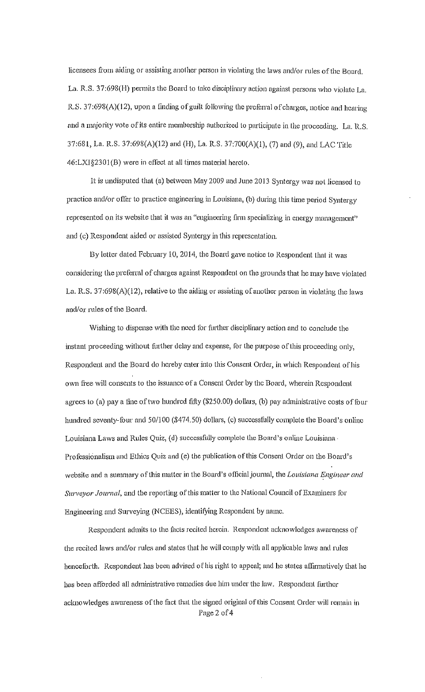licensees from aiding or assisting another person in violating the laws and/or rules of the Board. La. R.S. 37:698(H) penuils the Board to lake disciplinary action against persons who violate La. R.S. 37:698(A)(12), upon a finding of guilt following the preferral of charges, notice and hearing and a majority vote of its entire membership authorized to participate in the proceeding. La. R.S. 37:681, La. R.S. 37:698(A)(12) and (H), La. R.S. 37:700(A)(l), (7) and (9), and LAC Title  $46: LXI$ §2301(B) were in effect at all times material hereto.

It is undisputed that (a) between May 2009 and June 2013 Syntergy was not licensed to practice and/or offer to practice engineering in Louisiana, (b) during this time period Syntergy represented on its website that it was an "engineering firm specializing in energy management" and (c) Respondent aided or assisted Syntergy in this representation.

By letter dated February 10, 2014, the Board gave notice to Respondent that it was considering the preferral of charges against Respondent on the grounds that he may have violated La. R.S. 37:698(A)(I2), relative to the aiding or assisting of another person in violating the laws and/or rules of the Board.

Wishing to dispense with the need for further disciplinary action and to conclude the instant proceeding without further delay and expense, for the purpose of this proceeding only, Respondent and the Board do hereby enter into this Consent Order, in which Respondent of his own free will consents to the issuance of a Consent Order by the Board, wherein Respondent agrees to (a) pay a fine of two hundred fifty (\$250.00) dollars, (b) pay administrative costs of four hundred seventy-four and 50/100 (\$474.50) dollars, (c) successfully complete the Board's online Louisiana Laws and Rules Quiz, (d) successfully complete the Board's online Louisiana · Professionalism and Ethics Quiz and (e) the publication of this Consent Order on the Board's website and a summary of this matter in the Board's officinljournnl, the *Louisiana Engineer and Surveyor Journal*, and the reporting of this matter to the National Council of Examiners for Engineering and Surveying (NCEES), identifying Respondent by name.

Respondent admits to the facts recited herein. Respondent acknowledges awareness of the recited laws and/or rules and states that he will comply with all applicable laws and rules henceforth. Respondent has been advised of his right to appeal; and he states affirmatively that he has been afforded all administrative remedies due him under the law. Respondent further acknowledges awareness of the fact that the signed original of this Consent Order will remain in Page 2 of 4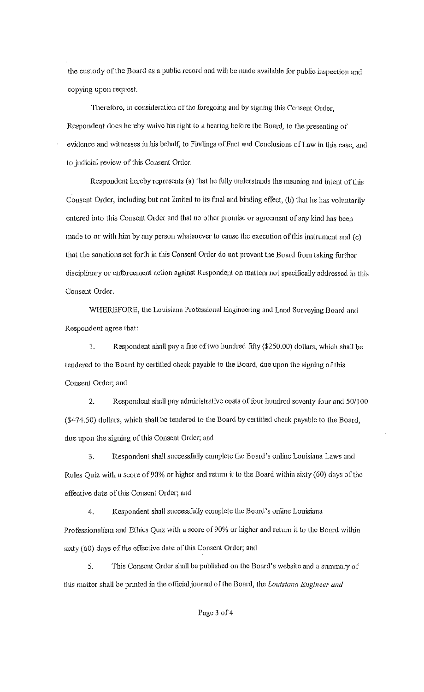the custody of the Board as a public record and will be made available for public inspection and copying upon request.

Therefore, in consideration of the foregoing and by signing this Consent Order. Respondent does hereby waive his right to a hearing before the Board, lo the presenting of evidence and witnesses in his behalf, to Findings of Fact and Conclusions of Law in this case, and to judicial review of this Consent Order.

Respondent hereby represents (a) that he fully understands the meaning and intent of this Consent Order, including but not limited to its final and binding effect, (b) that he has voluntarily entered into this Consent Order and that no other promise or agreement of any kind has been made to or with him by any person whatsoever to cause the execution of this instrument and (c) that the sanctions set forth in this Consent Order do not prevent the Board from taking further disciplinary or enforcement action against Respondent on matters not specifically addressed in this Consent Order.

WHEREFORE, the Louisiana Professional Engineering and Land Surveying Board and Respondent agree that:

1. Respondent shall pay a fmc of two hundred filly (\$250.00) dollars, whieh shall be tendered to the Board by certified check payable to the Board, due upon the signing of this Consent Order; and

2. Respondent shall pay administrative costs of four hundred seventy-four and 50/100 (\$474.50) dollars, which shall be tendered to the Board by certified check payable to the Board, due upon the signing of this Consent Order; and

3. Respondent shall successfully complete the Board's online Louisiana Laws and Rules Quiz with a score of90% or higher and return it to the Board within sixty (60) days of the effective date of this Consent Order; and

4. Respondent shall successfully complete the Board's online Louisiana Professionalism and Ethics Quiz with a score of 90% or higher and return it to the Board within sixty (60) days of the effective date of this Consent Order; and

5. This Consent Order shall be published on the Board's website and a summary of this matter shall be printed in the otlicialjournal of the Board, Lhe *Louisiana Engineer and*